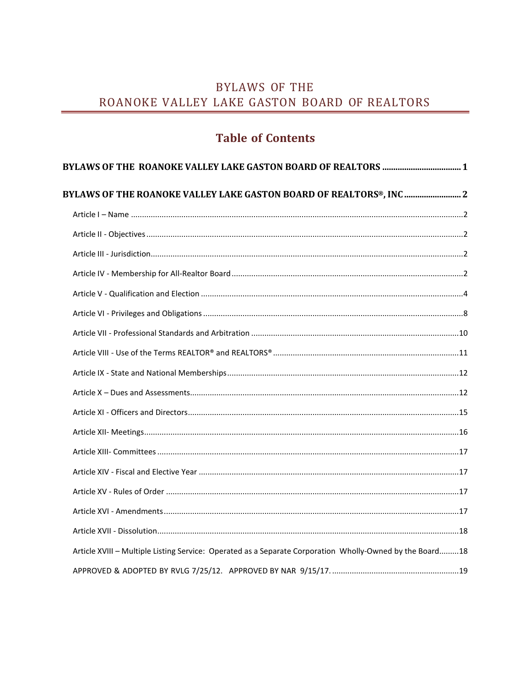## **BYLAWS OF THE** ROANOKE VALLEY LAKE GASTON BOARD OF REALTORS

# **Table of Contents**

| BYLAWS OF THE ROANOKE VALLEY LAKE GASTON BOARD OF REALTORS®, INC  2                                      |  |
|----------------------------------------------------------------------------------------------------------|--|
|                                                                                                          |  |
|                                                                                                          |  |
|                                                                                                          |  |
|                                                                                                          |  |
|                                                                                                          |  |
|                                                                                                          |  |
|                                                                                                          |  |
|                                                                                                          |  |
|                                                                                                          |  |
|                                                                                                          |  |
|                                                                                                          |  |
|                                                                                                          |  |
|                                                                                                          |  |
|                                                                                                          |  |
|                                                                                                          |  |
|                                                                                                          |  |
|                                                                                                          |  |
| Article XVIII - Multiple Listing Service: Operated as a Separate Corporation Wholly-Owned by the Board18 |  |
|                                                                                                          |  |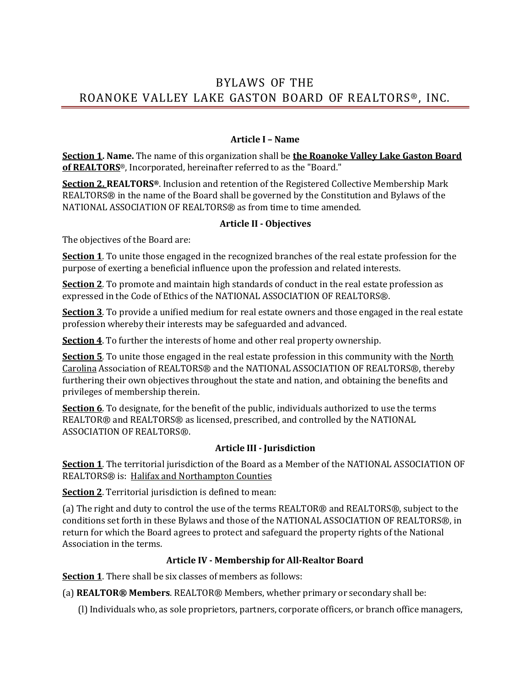## BYLAWS OF THE ROANOKE VALLEY LAKE GASTON BOARD OF REALTORS®, INC.

#### **Article I – Name**

<span id="page-1-0"></span>**Section 1. Name.** The name of this organization shall be **the Roanoke Valley Lake Gaston Board of REALTORS**®, Incorporated, hereinafter referred to as the "Board."

**Section 2. REALTORS®**. Inclusion and retention of the Registered Collective Membership Mark REALTORS® in the name of the Board shall be governed by the Constitution and Bylaws of the NATIONAL ASSOCIATION OF REALTORS® as from time to time amended.

#### **Article II - Objectives**

<span id="page-1-1"></span>The objectives of the Board are:

**Section 1**. To unite those engaged in the recognized branches of the real estate profession for the purpose of exerting a beneficial influence upon the profession and related interests.

**Section 2**. To promote and maintain high standards of conduct in the real estate profession as expressed in the Code of Ethics of the NATIONAL ASSOCIATION OF REALTORS®.

**Section 3**. To provide a unified medium for real estate owners and those engaged in the real estate profession whereby their interests may be safeguarded and advanced.

**Section 4**. To further the interests of home and other real property ownership.

**Section 5**. To unite those engaged in the real estate profession in this community with the North Carolina Association of REALTORS® and the NATIONAL ASSOCIATION OF REALTORS®, thereby furthering their own objectives throughout the state and nation, and obtaining the benefits and privileges of membership therein.

**Section 6**. To designate, for the benefit of the public, individuals authorized to use the terms REALTOR® and REALTORS® as licensed, prescribed, and controlled by the NATIONAL ASSOCIATION OF REALTORS®.

#### **Article III - Jurisdiction**

<span id="page-1-2"></span>**Section 1**. The territorial jurisdiction of the Board as a Member of the NATIONAL ASSOCIATION OF REALTORS® is: Halifax and Northampton Counties

**Section 2**. Territorial jurisdiction is defined to mean:

(a) The right and duty to control the use of the terms REALTOR® and REALTORS®, subject to the conditions set forth in these Bylaws and those of the NATIONAL ASSOCIATION OF REALTORS®, in return for which the Board agrees to protect and safeguard the property rights of the National Association in the terms.

#### **Article IV - Membership for All-Realtor Board**

**Section 1**. There shall be six classes of members as follows:

(a) **REALTOR® Members**. REALTOR® Members, whether primary or secondary shall be:

(l) Individuals who, as sole proprietors, partners, corporate officers, or branch office managers,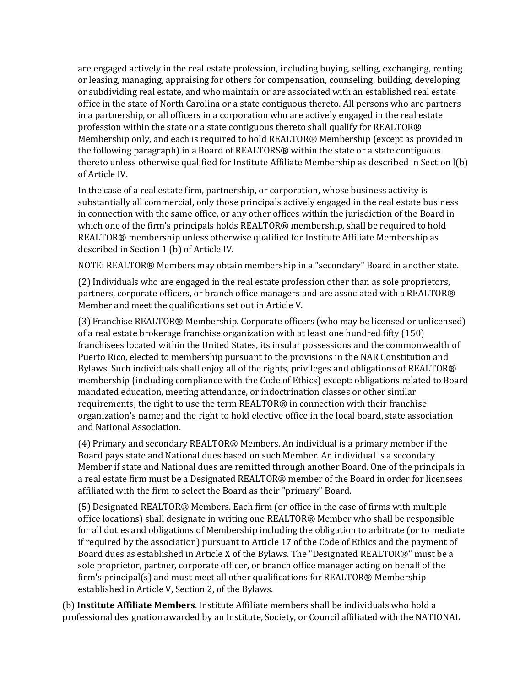are engaged actively in the real estate profession, including buying, selling, exchanging, renting or leasing, managing, appraising for others for compensation, counseling, building, developing or subdividing real estate, and who maintain or are associated with an established real estate office in the state of North Carolina or a state contiguous thereto. All persons who are partners in a partnership, or all officers in a corporation who are actively engaged in the real estate profession within the state or a state contiguous thereto shall qualify for REALTOR® Membership only, and each is required to hold REALTOR® Membership (except as provided in the following paragraph) in a Board of REALTORS® within the state or a state contiguous thereto unless otherwise qualified for Institute Affiliate Membership as described in Section l(b) of Article IV.

In the case of a real estate firm, partnership, or corporation, whose business activity is substantially all commercial, only those principals actively engaged in the real estate business in connection with the same office, or any other offices within the jurisdiction of the Board in which one of the firm's principals holds REALTOR® membership, shall be required to hold REALTOR® membership unless otherwise qualified for Institute Affiliate Membership as described in Section 1 (b) of Article IV.

NOTE: REALTOR® Members may obtain membership in a "secondary" Board in another state.

(2) Individuals who are engaged in the real estate profession other than as sole proprietors, partners, corporate officers, or branch office managers and are associated with a REALTOR® Member and meet the qualifications set out in Article V.

(3) Franchise REALTOR® Membership. Corporate officers (who may be licensed or unlicensed) of a real estate brokerage franchise organization with at least one hundred fifty (150) franchisees located within the United States, its insular possessions and the commonwealth of Puerto Rico, elected to membership pursuant to the provisions in the NAR Constitution and Bylaws. Such individuals shall enjoy all of the rights, privileges and obligations of REALTOR® membership (including compliance with the Code of Ethics) except: obligations related to Board mandated education, meeting attendance, or indoctrination classes or other similar requirements; the right to use the term REALTOR® in connection with their franchise organization's name; and the right to hold elective office in the local board, state association and National Association.

(4) Primary and secondary REALTOR® Members. An individual is a primary member if the Board pays state and National dues based on such Member. An individual is a secondary Member if state and National dues are remitted through another Board. One of the principals in a real estate firm must be a Designated REALTOR® member of the Board in order for licensees affiliated with the firm to select the Board as their "primary" Board.

(5) Designated REALTOR® Members. Each firm (or office in the case of firms with multiple office locations) shall designate in writing one REALTOR® Member who shall be responsible for all duties and obligations of Membership including the obligation to arbitrate (or to mediate if required by the association) pursuant to Article 17 of the Code of Ethics and the payment of Board dues as established in Article X of the Bylaws. The "Designated REALTOR®" must be a sole proprietor, partner, corporate officer, or branch office manager acting on behalf of the firm's principal(s) and must meet all other qualifications for REALTOR® Membership established in Article V, Section 2, of the Bylaws.

(b) **Institute Affiliate Members**. Institute Affiliate members shall be individuals who hold a professional designation awarded by an Institute, Society, or Council affiliated with the NATIONAL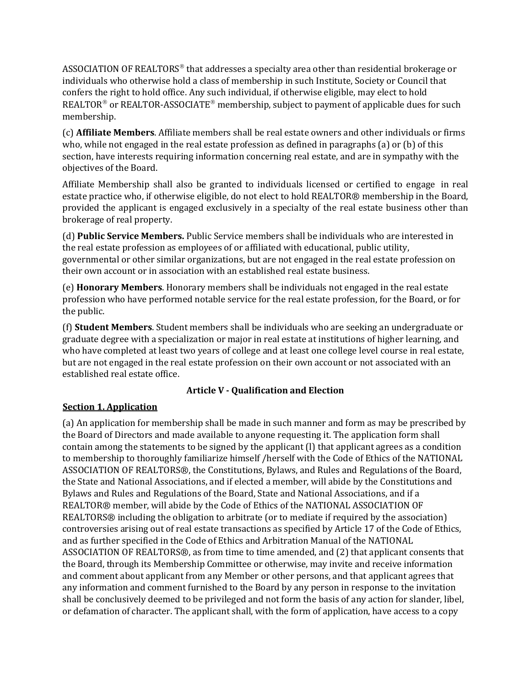ASSOCIATION OF REALTORS<sup>®</sup> that addresses a specialty area other than residential brokerage or individuals who otherwise hold a class of membership in such Institute, Society or Council that confers the right to hold office. Any such individual, if otherwise eligible, may elect to hold REALTOR<sup>®</sup> or REALTOR-ASSOCIATE<sup>®</sup> membership, subject to payment of applicable dues for such membership.

(c) **Affiliate Members**. Affiliate members shall be real estate owners and other individuals or firms who, while not engaged in the real estate profession as defined in paragraphs (a) or (b) of this section, have interests requiring information concerning real estate, and are in sympathy with the objectives of the Board.

Affiliate Membership shall also be granted to individuals licensed or certified to engage in real estate practice who, if otherwise eligible, do not elect to hold REALTOR® membership in the Board, provided the applicant is engaged exclusively in a specialty of the real estate business other than brokerage of real property.

(d) **Public Service Members.** Public Service members shall be individuals who are interested in the real estate profession as employees of or affiliated with educational, public utility, governmental or other similar organizations, but are not engaged in the real estate profession on their own account or in association with an established real estate business.

(e) **Honorary Members**. Honorary members shall be individuals not engaged in the real estate profession who have performed notable service for the real estate profession, for the Board, or for the public.

(f) **Student Members**. Student members shall be individuals who are seeking an undergraduate or graduate degree with a specialization or major in real estate at institutions of higher learning, and who have completed at least two years of college and at least one college level course in real estate, but are not engaged in the real estate profession on their own account or not associated with an established real estate office.

## **Article V - Qualification and Election**

## <span id="page-3-0"></span>**Section 1. Application**

(a) An application for membership shall be made in such manner and form as may be prescribed by the Board of Directors and made available to anyone requesting it. The application form shall contain among the statements to be signed by the applicant (l) that applicant agrees as a condition to membership to thoroughly familiarize himself /herself with the Code of Ethics of the NATIONAL ASSOCIATION OF REALTORS®, the Constitutions, Bylaws, and Rules and Regulations of the Board, the State and National Associations, and if elected a member, will abide by the Constitutions and Bylaws and Rules and Regulations of the Board, State and National Associations, and if a REALTOR® member, will abide by the Code of Ethics of the NATIONAL ASSOCIATION OF REALTORS® including the obligation to arbitrate (or to mediate if required by the association) controversies arising out of real estate transactions as specified by Article 17 of the Code of Ethics, and as further specified in the Code of Ethics and Arbitration Manual of the NATIONAL ASSOCIATION OF REALTORS®, as from time to time amended, and (2) that applicant consents that the Board, through its Membership Committee or otherwise, may invite and receive information and comment about applicant from any Member or other persons, and that applicant agrees that any information and comment furnished to the Board by any person in response to the invitation shall be conclusively deemed to be privileged and not form the basis of any action for slander, libel, or defamation of character. The applicant shall, with the form of application, have access to a copy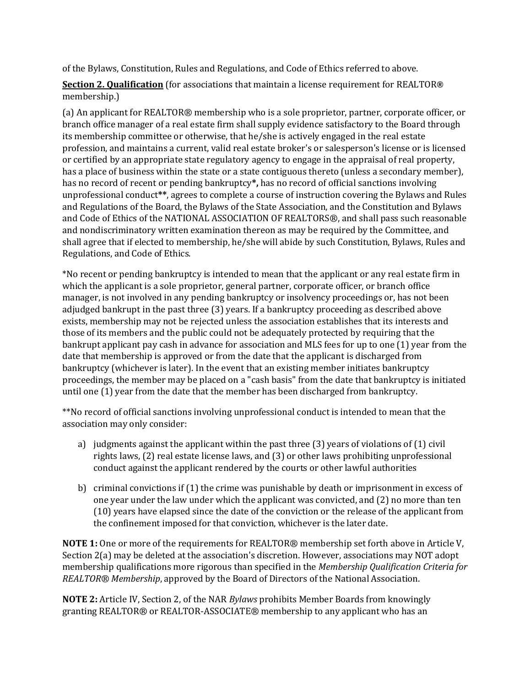of the Bylaws, Constitution, Rules and Regulations, and Code of Ethics referred to above.

**Section 2. Qualification** (for associations that maintain a license requirement for REALTOR**®** membership.)

(a) An applicant for REALTOR® membership who is a sole proprietor, partner, corporate officer, or branch office manager of a real estate firm shall supply evidence satisfactory to the Board through its membership committee or otherwise, that he/she is actively engaged in the real estate profession, and maintains a current, valid real estate broker's or salesperson's license or is licensed or certified by an appropriate state regulatory agency to engage in the appraisal of real property, has a place of business within the state or a state contiguous thereto (unless a secondary member), has no record of recent or pending bankruptcy**\*,** has no record of official sanctions involving unprofessional conduct**\*\***, agrees to complete a course of instruction covering the Bylaws and Rules and Regulations of the Board, the Bylaws of the State Association, and the Constitution and Bylaws and Code of Ethics of the NATIONAL ASSOCIATION OF REALTORS®, and shall pass such reasonable and nondiscriminatory written examination thereon as may be required by the Committee, and shall agree that if elected to membership, he/she will abide by such Constitution, Bylaws, Rules and Regulations, and Code of Ethics.

\*No recent or pending bankruptcy is intended to mean that the applicant or any real estate firm in which the applicant is a sole proprietor, general partner, corporate officer, or branch office manager, is not involved in any pending bankruptcy or insolvency proceedings or, has not been adjudged bankrupt in the past three (3) years. If a bankruptcy proceeding as described above exists, membership may not be rejected unless the association establishes that its interests and those of its members and the public could not be adequately protected by requiring that the bankrupt applicant pay cash in advance for association and MLS fees for up to one (1) year from the date that membership is approved or from the date that the applicant is discharged from bankruptcy (whichever is later). In the event that an existing member initiates bankruptcy proceedings, the member may be placed on a "cash basis" from the date that bankruptcy is initiated until one (1) year from the date that the member has been discharged from bankruptcy.

\*\*No record of official sanctions involving unprofessional conduct is intended to mean that the association may only consider:

- a) judgments against the applicant within the past three  $(3)$  years of violations of  $(1)$  civil rights laws, (2) real estate license laws, and (3) or other laws prohibiting unprofessional conduct against the applicant rendered by the courts or other lawful authorities
- b) criminal convictions if (1) the crime was punishable by death or imprisonment in excess of one year under the law under which the applicant was convicted, and (2) no more than ten (10) years have elapsed since the date of the conviction or the release of the applicant from the confinement imposed for that conviction, whichever is the later date.

**NOTE 1:** One or more of the requirements for REALTOR® membership set forth above in Article V, Section 2(a) may be deleted at the association's discretion. However, associations may NOT adopt membership qualifications more rigorous than specified in the *Membership Qualification Criteria for REALTOR® Membership*, approved by the Board of Directors of the National Association.

**NOTE 2:** Article IV, Section 2, of the NAR *Bylaws* prohibits Member Boards from knowingly granting REALTOR® or REALTOR-ASSOCIATE® membership to any applicant who has an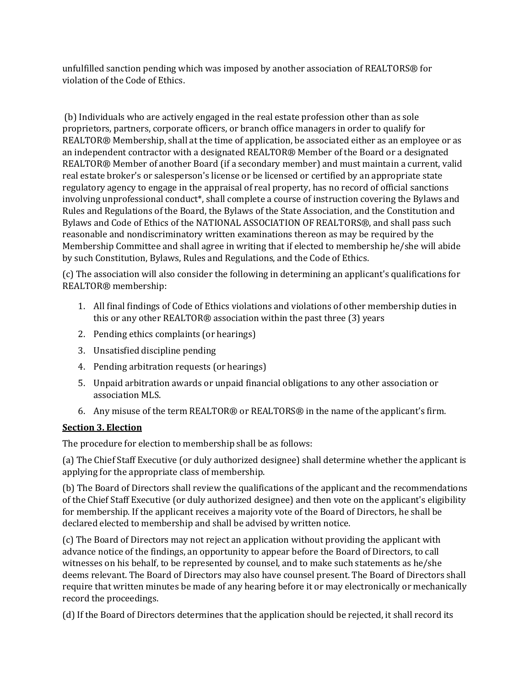unfulfilled sanction pending which was imposed by another association of REALTORS® for violation of the Code of Ethics.

(b) Individuals who are actively engaged in the real estate profession other than as sole proprietors, partners, corporate officers, or branch office managers in order to qualify for REALTOR® Membership, shall at the time of application, be associated either as an employee or as an independent contractor with a designated REALTOR® Member of the Board or a designated REALTOR® Member of another Board (if a secondary member) and must maintain a current, valid real estate broker's or salesperson's license or be licensed or certified by an appropriate state regulatory agency to engage in the appraisal of real property, has no record of official sanctions involving unprofessional conduct\*, shall complete a course of instruction covering the Bylaws and Rules and Regulations of the Board, the Bylaws of the State Association, and the Constitution and Bylaws and Code of Ethics of the NATIONAL ASSOCIATION OF REALTORS®, and shall pass such reasonable and nondiscriminatory written examinations thereon as may be required by the Membership Committee and shall agree in writing that if elected to membership he/she will abide by such Constitution, Bylaws, Rules and Regulations, and the Code of Ethics.

(c) The association will also consider the following in determining an applicant's qualifications for REALTOR® membership:

- 1. All final findings of Code of Ethics violations and violations of other membership duties in this or any other REALTOR® association within the past three (3) years
- 2. Pending ethics complaints (or hearings)
- 3. Unsatisfied discipline pending
- 4. Pending arbitration requests (or hearings)
- 5. Unpaid arbitration awards or unpaid financial obligations to any other association or association MLS.
- 6. Any misuse of the term REALTOR® or REALTORS® in the name of the applicant's firm.

#### **Section 3. Election**

The procedure for election to membership shall be as follows:

(a) The Chief Staff Executive (or duly authorized designee) shall determine whether the applicant is applying for the appropriate class of membership.

(b) The Board of Directors shall review the qualifications of the applicant and the recommendations of the Chief Staff Executive (or duly authorized designee) and then vote on the applicant's eligibility for membership. If the applicant receives a majority vote of the Board of Directors, he shall be declared elected to membership and shall be advised by written notice.

(c) The Board of Directors may not reject an application without providing the applicant with advance notice of the findings, an opportunity to appear before the Board of Directors, to call witnesses on his behalf, to be represented by counsel, and to make such statements as he/she deems relevant. The Board of Directors may also have counsel present. The Board of Directors shall require that written minutes be made of any hearing before it or may electronically or mechanically record the proceedings.

(d) If the Board of Directors determines that the application should be rejected, it shall record its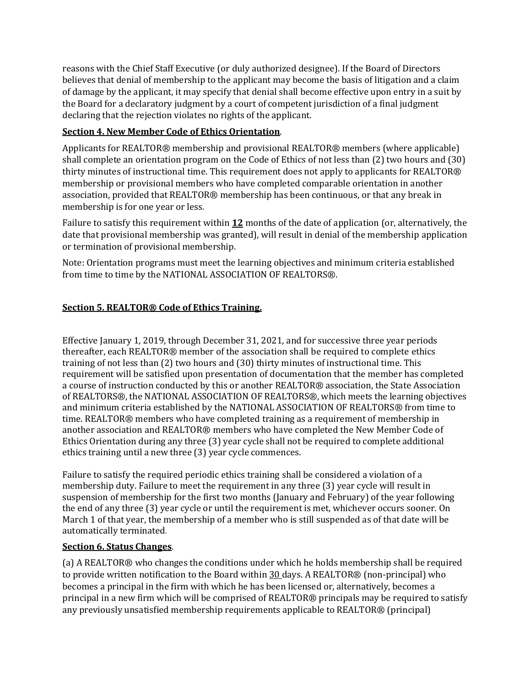reasons with the Chief Staff Executive (or duly authorized designee). If the Board of Directors believes that denial of membership to the applicant may become the basis of litigation and a claim of damage by the applicant, it may specify that denial shall become effective upon entry in a suit by the Board for a declaratory judgment by a court of competent jurisdiction of a final judgment declaring that the rejection violates no rights of the applicant.

## **Section 4. New Member Code of Ethics Orientation**.

Applicants for REALTOR® membership and provisional REALTOR® members (where applicable) shall complete an orientation program on the Code of Ethics of not less than (2) two hours and (30) thirty minutes of instructional time. This requirement does not apply to applicants for REALTOR® membership or provisional members who have completed comparable orientation in another association, provided that REALTOR® membership has been continuous, or that any break in membership is for one year or less.

Failure to satisfy this requirement within **12** months of the date of application (or, alternatively, the date that provisional membership was granted), will result in denial of the membership application or termination of provisional membership.

Note: Orientation programs must meet the learning objectives and minimum criteria established from time to time by the NATIONAL ASSOCIATION OF REALTORS®.

## **Section 5. REALTOR® Code of Ethics Training.**

Effective January 1, 2019, through December 31, 2021, and for successive three year periods thereafter, each REALTOR® member of the association shall be required to complete ethics training of not less than (2) two hours and (30) thirty minutes of instructional time. This requirement will be satisfied upon presentation of documentation that the member has completed a course of instruction conducted by this or another REALTOR® association, the State Association of REALTORS®, the NATIONAL ASSOCIATION OF REALTORS®, which meets the learning objectives and minimum criteria established by the NATIONAL ASSOCIATION OF REALTORS® from time to time. REALTOR® members who have completed training as a requirement of membership in another association and REALTOR® members who have completed the New Member Code of Ethics Orientation during any three (3) year cycle shall not be required to complete additional ethics training until a new three (3) year cycle commences.

Failure to satisfy the required periodic ethics training shall be considered a violation of a membership duty. Failure to meet the requirement in any three (3) year cycle will result in suspension of membership for the first two months (January and February) of the year following the end of any three (3) year cycle or until the requirement is met, whichever occurs sooner. On March 1 of that year, the membership of a member who is still suspended as of that date will be automatically terminated*.*

## **Section 6. Status Changes**.

(a) A REALTOR® who changes the conditions under which he holds membership shall be required to provide written notification to the Board within 30 days. A REALTOR® (non-principal) who becomes a principal in the firm with which he has been licensed or, alternatively, becomes a principal in a new firm which will be comprised of REALTOR® principals may be required to satisfy any previously unsatisfied membership requirements applicable to REALTOR® (principal)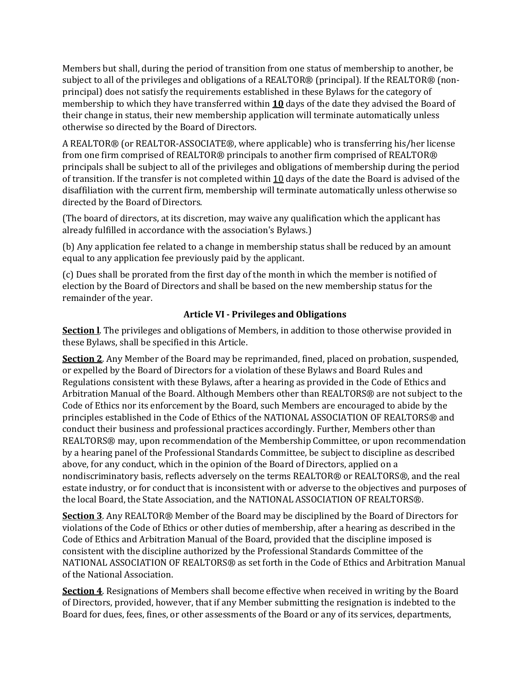Members but shall, during the period of transition from one status of membership to another, be subject to all of the privileges and obligations of a REALTOR® (principal). If the REALTOR® (nonprincipal) does not satisfy the requirements established in these Bylaws for the category of membership to which they have transferred within **10** days of the date they advised the Board of their change in status, their new membership application will terminate automatically unless otherwise so directed by the Board of Directors.

A REALTOR® (or REALTOR-ASSOCIATE®, where applicable) who is transferring his/her license from one firm comprised of REALTOR® principals to another firm comprised of REALTOR® principals shall be subject to all of the privileges and obligations of membership during the period of transition. If the transfer is not completed within 10 days of the date the Board is advised of the disaffiliation with the current firm, membership will terminate automatically unless otherwise so directed by the Board of Directors.

(The board of directors, at its discretion, may waive any qualification which the applicant has already fulfilled in accordance with the association's Bylaws.)

(b) Any application fee related to a change in membership status shall be reduced by an amount equal to any application fee previously paid by the applicant.

(c) Dues shall be prorated from the first day of the month in which the member is notified of election by the Board of Directors and shall be based on the new membership status for the remainder of the year.

#### **Article VI - Privileges and Obligations**

<span id="page-7-0"></span>**Section l**. The privileges and obligations of Members, in addition to those otherwise provided in these Bylaws, shall be specified in this Article.

**Section 2**. Any Member of the Board may be reprimanded, fined, placed on probation, suspended, or expelled by the Board of Directors for a violation of these Bylaws and Board Rules and Regulations consistent with these Bylaws, after a hearing as provided in the Code of Ethics and Arbitration Manual of the Board. Although Members other than REALTORS® are not subject to the Code of Ethics nor its enforcement by the Board, such Members are encouraged to abide by the principles established in the Code of Ethics of the NATIONAL ASSOCIATION OF REALTORS® and conduct their business and professional practices accordingly. Further, Members other than REALTORS® may, upon recommendation of the Membership Committee, or upon recommendation by a hearing panel of the Professional Standards Committee, be subject to discipline as described above, for any conduct, which in the opinion of the Board of Directors, applied on a nondiscriminatory basis, reflects adversely on the terms REALTOR® or REALTORS®, and the real estate industry, or for conduct that is inconsistent with or adverse to the objectives and purposes of the local Board, the State Association, and the NATIONAL ASSOCIATION OF REALTORS®.

**Section 3**. Any REALTOR® Member of the Board may be disciplined by the Board of Directors for violations of the Code of Ethics or other duties of membership, after a hearing as described in the Code of Ethics and Arbitration Manual of the Board, provided that the discipline imposed is consistent with the discipline authorized by the Professional Standards Committee of the NATIONAL ASSOCIATION OF REALTORS® as set forth in the Code of Ethics and Arbitration Manual of the National Association.

**Section 4**. Resignations of Members shall become effective when received in writing by the Board of Directors, provided, however, that if any Member submitting the resignation is indebted to the Board for dues, fees, fines, or other assessments of the Board or any of its services, departments,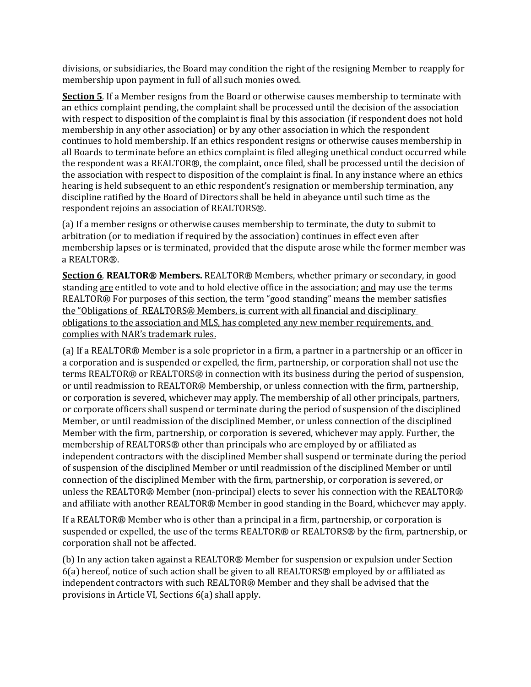divisions, or subsidiaries, the Board may condition the right of the resigning Member to reapply for membership upon payment in full of all such monies owed.

**Section 5**. If a Member resigns from the Board or otherwise causes membership to terminate with an ethics complaint pending, the complaint shall be processed until the decision of the association with respect to disposition of the complaint is final by this association (if respondent does not hold membership in any other association) or by any other association in which the respondent continues to hold membership. If an ethics respondent resigns or otherwise causes membership in all Boards to terminate before an ethics complaint is filed alleging unethical conduct occurred while the respondent was a REALTOR®, the complaint, once filed, shall be processed until the decision of the association with respect to disposition of the complaint is final. In any instance where an ethics hearing is held subsequent to an ethic respondent's resignation or membership termination, any discipline ratified by the Board of Directors shall be held in abeyance until such time as the respondent rejoins an association of REALTORS®.

(a) If a member resigns or otherwise causes membership to terminate, the duty to submit to arbitration (or to mediation if required by the association) continues in effect even after membership lapses or is terminated, provided that the dispute arose while the former member was a REALTOR®.

**Section 6**. **REALTOR® Members.** REALTOR® Members, whether primary or secondary, in good standing are entitled to vote and to hold elective office in the association; and may use the terms REALTOR® For purposes of this section, the term "good standing" means the member satisfies the "Obligations of REALTORS® Members, is current with all financial and disciplinary obligations to the association and MLS, has completed any new member requirements, and complies with NAR's trademark rules.

(a) If a REALTOR® Member is a sole proprietor in a firm, a partner in a partnership or an officer in a corporation and is suspended or expelled, the firm, partnership, or corporation shall not use the terms REALTOR® or REALTORS® in connection with its business during the period of suspension, or until readmission to REALTOR® Membership, or unless connection with the firm, partnership, or corporation is severed, whichever may apply. The membership of all other principals, partners, or corporate officers shall suspend or terminate during the period of suspension of the disciplined Member, or until readmission of the disciplined Member, or unless connection of the disciplined Member with the firm, partnership, or corporation is severed, whichever may apply. Further, the membership of REALTORS® other than principals who are employed by or affiliated as independent contractors with the disciplined Member shall suspend or terminate during the period of suspension of the disciplined Member or until readmission of the disciplined Member or until connection of the disciplined Member with the firm, partnership, or corporation is severed, or unless the REALTOR® Member (non-principal) elects to sever his connection with the REALTOR® and affiliate with another REALTOR® Member in good standing in the Board, whichever may apply.

If a REALTOR® Member who is other than a principal in a firm, partnership, or corporation is suspended or expelled, the use of the terms REALTOR® or REALTORS® by the firm, partnership, or corporation shall not be affected.

(b) In any action taken against a REALTOR® Member for suspension or expulsion under Section 6(a) hereof, notice of such action shall be given to all REALTORS® employed by or affiliated as independent contractors with such REALTOR® Member and they shall be advised that the provisions in Article VI, Sections 6(a) shall apply.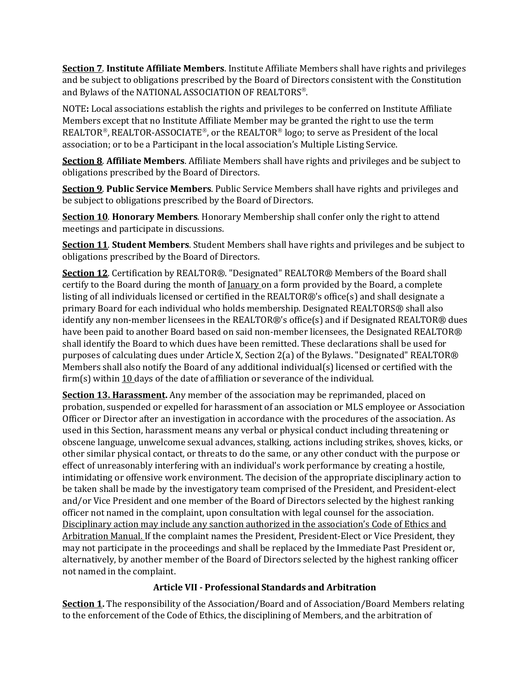**Section 7**. **Institute Affiliate Members**. Institute Affiliate Members shall have rights and privileges and be subject to obligations prescribed by the Board of Directors consistent with the Constitution and Bylaws of the NATIONAL ASSOCIATION OF REALTORS®.

NOTE**:** Local associations establish the rights and privileges to be conferred on Institute Affiliate Members except that no Institute Affiliate Member may be granted the right to use the term REALTOR®, REALTOR-ASSOCIATE®, or the REALTOR® logo; to serve as President of the local association; or to be a Participant in the local association's Multiple Listing Service.

**Section 8**. **Affiliate Members**. Affiliate Members shall have rights and privileges and be subject to obligations prescribed by the Board of Directors.

**Section 9**. **Public Service Members**. Public Service Members shall have rights and privileges and be subject to obligations prescribed by the Board of Directors.

**Section 10**. **Honorary Members**. Honorary Membership shall confer only the right to attend meetings and participate in discussions.

**Section 11**. **Student Members**. Student Members shall have rights and privileges and be subject to obligations prescribed by the Board of Directors.

**Section 12**. Certification by REALTOR®. "Designated" REALTOR® Members of the Board shall certify to the Board during the month of <u>January</u> on a form provided by the Board, a complete listing of all individuals licensed or certified in the REALTOR®'s office(s) and shall designate a primary Board for each individual who holds membership. Designated REALTORS® shall also identify any non-member licensees in the REALTOR®'s office(s) and if Designated REALTOR® dues have been paid to another Board based on said non-member licensees, the Designated REALTOR® shall identify the Board to which dues have been remitted. These declarations shall be used for purposes of calculating dues under Article X, Section 2(a) of the Bylaws. "Designated" REALTOR® Members shall also notify the Board of any additional individual(s) licensed or certified with the firm(s) within  $10$  days of the date of affiliation or severance of the individual.

**Section 13. Harassment.** Any member of the association may be reprimanded, placed on probation, suspended or expelled for harassment of an association or MLS employee or Association Officer or Director after an investigation in accordance with the procedures of the association. As used in this Section, harassment means any verbal or physical conduct including threatening or obscene language, unwelcome sexual advances, stalking, actions including strikes, shoves, kicks, or other similar physical contact, or threats to do the same, or any other conduct with the purpose or effect of unreasonably interfering with an individual's work performance by creating a hostile, intimidating or offensive work environment. The decision of the appropriate disciplinary action to be taken shall be made by the investigatory team comprised of the President, and President-elect and/or Vice President and one member of the Board of Directors selected by the highest ranking officer not named in the complaint, upon consultation with legal counsel for the association. Disciplinary action may include any sanction authorized in the association's Code of Ethics and Arbitration Manual. If the complaint names the President, President-Elect or Vice President, they may not participate in the proceedings and shall be replaced by the Immediate Past President or, alternatively, by another member of the Board of Directors selected by the highest ranking officer not named in the complaint.

## **Article VII - Professional Standards and Arbitration**

<span id="page-9-0"></span>**Section 1.** The responsibility of the Association/Board and of Association/Board Members relating to the enforcement of the Code of Ethics, the disciplining of Members, and the arbitration of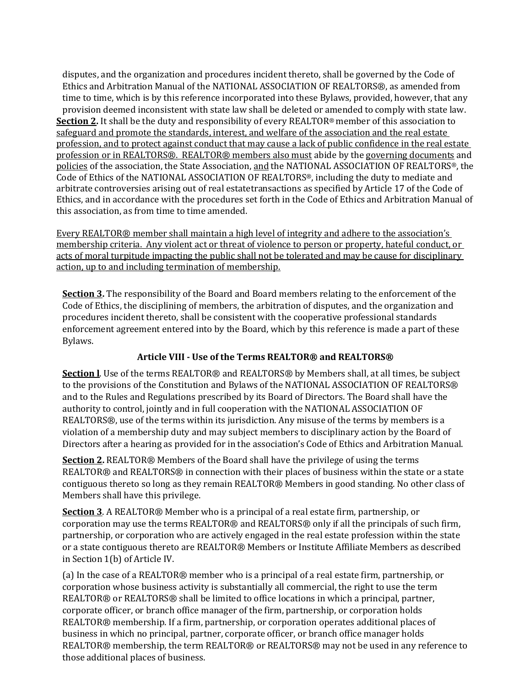disputes, and the organization and procedures incident thereto, shall be governed by the Code of Ethics and Arbitration Manual of the NATIONAL ASSOCIATION OF REALTORS®, as amended from time to time, which is by this reference incorporated into these Bylaws, provided, however, that any provision deemed inconsistent with state law shall be deleted or amended to comply with state law. **Section 2.** It shall be the duty and responsibility of every REALTOR® member of this association to safeguard and promote the standards, interest, and welfare of the association and the real estate profession, and to protect against conduct that may cause a lack of public confidence in the real estate profession or in REALTORS®. REALTOR® members also must abide by the governing documents and policies of the association, the State Association, and the NATIONAL ASSOCIATION OF REALTORS®, the Code of Ethics of the NATIONAL ASSOCIATION OF REALTORS®, including the duty to mediate and arbitrate controversies arising out of real estatetransactions as specified by Article 17 of the Code of Ethics, and in accordance with the procedures set forth in the Code of Ethics and Arbitration Manual of this association, as from time to time amended.

Every REALTOR® member shall maintain a high level of integrity and adhere to the association's membership criteria. Any violent act or threat of violence to person or property, hateful conduct, or acts of moral turpitude impacting the public shall not be tolerated and may be cause for disciplinary action, up to and including termination of membership.

**Section 3.** The responsibility of the Board and Board members relating to the enforcement of the Code of Ethics, the disciplining of members, the arbitration of disputes, and the organization and procedures incident thereto, shall be consistent with the cooperative professional standards enforcement agreement entered into by the Board, which by this reference is made a part of these Bylaws.

## **Article VIII - Use of the Terms REALTOR® and REALTORS®**

<span id="page-10-0"></span>**Section I**. Use of the terms REALTOR® and REALTORS® by Members shall, at all times, be subject to the provisions of the Constitution and Bylaws of the NATIONAL ASSOCIATION OF REALTORS® and to the Rules and Regulations prescribed by its Board of Directors. The Board shall have the authority to control, jointly and in full cooperation with the NATIONAL ASSOCIATION OF REALTORS®, use of the terms within its jurisdiction. Any misuse of the terms by members is a violation of a membership duty and may subject members to disciplinary action by the Board of Directors after a hearing as provided for in the association's Code of Ethics and Arbitration Manual.

**Section 2.** REALTOR® Members of the Board shall have the privilege of using the terms REALTOR® and REALTORS® in connection with their places of business within the state or a state contiguous thereto so long as they remain REALTOR® Members in good standing. No other class of Members shall have this privilege.

**Section 3**. A REALTOR® Member who is a principal of a real estate firm, partnership, or corporation may use the terms REALTOR® and REALTORS® only if all the principals of such firm, partnership, or corporation who are actively engaged in the real estate profession within the state or a state contiguous thereto are REALTOR® Members or Institute Affiliate Members as described in Section 1(b) of Article IV.

(a) In the case of a REALTOR® member who is a principal of a real estate firm, partnership, or corporation whose business activity is substantially all commercial, the right to use the term REALTOR® or REALTORS® shall be limited to office locations in which a principal, partner, corporate officer, or branch office manager of the firm, partnership, or corporation holds REALTOR® membership. If a firm, partnership, or corporation operates additional places of business in which no principal, partner, corporate officer, or branch office manager holds REALTOR® membership, the term REALTOR® or REALTORS® may not be used in any reference to those additional places of business.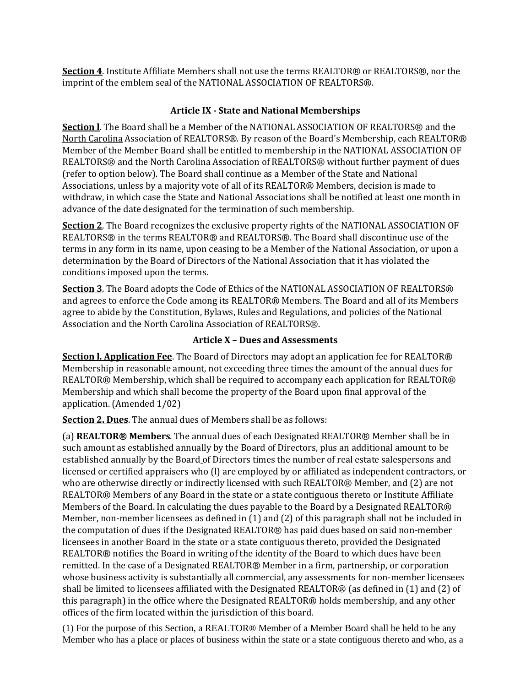**Section 4**. Institute Affiliate Members shall not use the terms REALTOR® or REALTORS®, nor the imprint of the emblem seal of the NATIONAL ASSOCIATION OF REALTORS®.

#### **Article IX - State and National Memberships**

<span id="page-11-0"></span>**Section l**. The Board shall be a Member of the NATIONAL ASSOCIATION OF REALTORS® and the North Carolina Association of REALTORS®. By reason of the Board's Membership, each REALTOR® Member of the Member Board shall be entitled to membership in the NATIONAL ASSOCIATION OF REALTORS® and the North Carolina Association of REALTORS® without further payment of dues (refer to option below). The Board shall continue as a Member of the State and National Associations, unless by a majority vote of all of its REALTOR® Members, decision is made to withdraw, in which case the State and National Associations shall be notified at least one month in advance of the date designated for the termination of such membership.

**Section 2**. The Board recognizes the exclusive property rights of the NATIONAL ASSOCIATION OF REALTORS® in the terms REALTOR® and REALTORS®. The Board shall discontinue use of the terms in any form in its name, upon ceasing to be a Member of the National Association, or upon a determination by the Board of Directors of the National Association that it has violated the conditions imposed upon the terms.

**Section 3**. The Board adopts the Code of Ethics of the NATIONAL ASSOCIATION OF REALTORS® and agrees to enforce the Code among its REALTOR® Members. The Board and all of its Members agree to abide by the Constitution, Bylaws, Rules and Regulations, and policies of the National Association and the North Carolina Association of REALTORS®.

#### **Article X – Dues and Assessments**

<span id="page-11-1"></span>**Section l. Application Fee**. The Board of Directors may adopt an application fee for REALTOR® Membership in reasonable amount, not exceeding three times the amount of the annual dues for REALTOR® Membership, which shall be required to accompany each application for REALTOR® Membership and which shall become the property of the Board upon final approval of the application. (Amended 1/02)

**Section 2. Dues**. The annual dues of Members shall be as follows:

(a) **REALTOR® Members**. The annual dues of each Designated REALTOR® Member shall be in such amount as established annually by the Board of Directors, plus an additional amount to be established annually by the Board of Directors times the number of real estate salespersons and licensed or certified appraisers who (l) are employed by or affiliated as independent contractors, or who are otherwise directly or indirectly licensed with such REALTOR® Member, and (2) are not REALTOR® Members of any Board in the state or a state contiguous thereto or Institute Affiliate Members of the Board. In calculating the dues payable to the Board by a Designated REALTOR® Member, non-member licensees as defined in (1) and (2) of this paragraph shall not be included in the computation of dues if the Designated REALTOR® has paid dues based on said non-member licensees in another Board in the state or a state contiguous thereto, provided the Designated REALTOR® notifies the Board in writing of the identity of the Board to which dues have been remitted. In the case of a Designated REALTOR® Member in a firm, partnership, or corporation whose business activity is substantially all commercial, any assessments for non-member licensees shall be limited to licensees affiliated with the Designated REALTOR® (as defined in (1) and (2) of this paragraph) in the office where the Designated REALTOR® holds membership, and any other offices of the firm located within the jurisdiction of this board.

(1) For the purpose of this Section, a REALTOR® Member of a Member Board shall be held to be any Member who has a place or places of business within the state or a state contiguous thereto and who, as a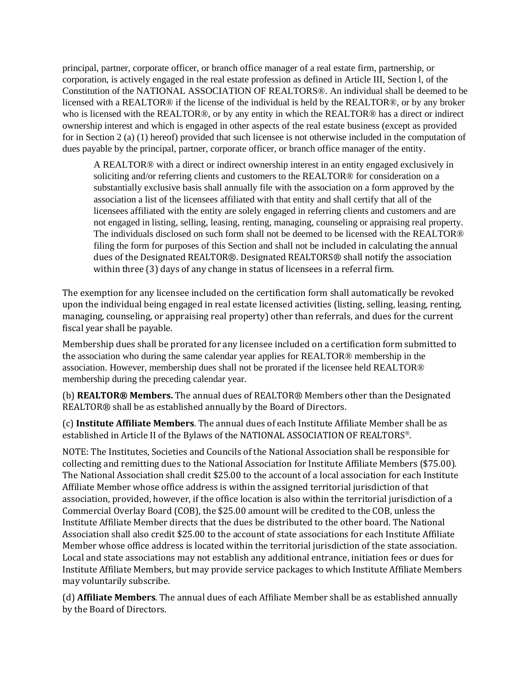principal, partner, corporate officer, or branch office manager of a real estate firm, partnership, or corporation, is actively engaged in the real estate profession as defined in Article III, Section l, of the Constitution of the NATIONAL ASSOCIATION OF REALTORS®. An individual shall be deemed to be licensed with a REALTOR® if the license of the individual is held by the REALTOR®, or by any broker who is licensed with the REALTOR®, or by any entity in which the REALTOR® has a direct or indirect ownership interest and which is engaged in other aspects of the real estate business (except as provided for in Section 2 (a) (1) hereof) provided that such licensee is not otherwise included in the computation of dues payable by the principal, partner, corporate officer, or branch office manager of the entity.

A REALTOR® with a direct or indirect ownership interest in an entity engaged exclusively in soliciting and/or referring clients and customers to the REALTOR® for consideration on a substantially exclusive basis shall annually file with the association on a form approved by the association a list of the licensees affiliated with that entity and shall certify that all of the licensees affiliated with the entity are solely engaged in referring clients and customers and are not engaged in listing, selling, leasing, renting, managing, counseling or appraising real property. The individuals disclosed on such form shall not be deemed to be licensed with the REALTOR® filing the form for purposes of this Section and shall not be included in calculating the annual dues of the Designated REALTOR®. Designated REALTORS® shall notify the association within three (3) days of any change in status of licensees in a referral firm.

The exemption for any licensee included on the certification form shall automatically be revoked upon the individual being engaged in real estate licensed activities (listing, selling, leasing, renting, managing, counseling, or appraising real property) other than referrals, and dues for the current fiscal year shall be payable.

Membership dues shall be prorated for any licensee included on a certification form submitted to the association who during the same calendar year applies for REALTOR® membership in the association. However, membership dues shall not be prorated if the licensee held REALTOR® membership during the preceding calendar year.

(b) **REALTOR® Members.** The annual dues of REALTOR® Members other than the Designated REALTOR® shall be as established annually by the Board of Directors.

(c) **Institute Affiliate Members**. The annual dues of each Institute Affiliate Member shall be as established in Article II of the Bylaws of the NATIONAL ASSOCIATION OF REALTORS®.

NOTE: The Institutes, Societies and Councils of the National Association shall be responsible for collecting and remitting dues to the National Association for Institute Affiliate Members (\$75.00). The National Association shall credit \$25.00 to the account of a local association for each Institute Affiliate Member whose office address is within the assigned territorial jurisdiction of that association, provided, however, if the office location is also within the territorial jurisdiction of a Commercial Overlay Board (COB), the \$25.00 amount will be credited to the COB, unless the Institute Affiliate Member directs that the dues be distributed to the other board. The National Association shall also credit \$25.00 to the account of state associations for each Institute Affiliate Member whose office address is located within the territorial jurisdiction of the state association. Local and state associations may not establish any additional entrance, initiation fees or dues for Institute Affiliate Members, but may provide service packages to which Institute Affiliate Members may voluntarily subscribe.

(d) **Affiliate Members**. The annual dues of each Affiliate Member shall be as established annually by the Board of Directors.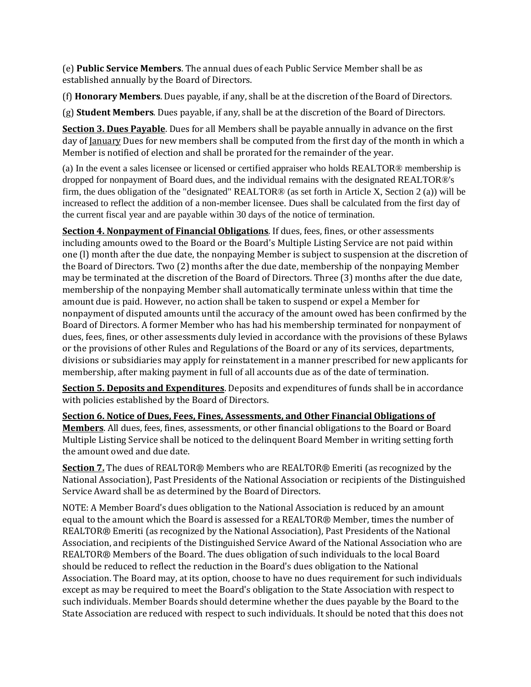(e) **Public Service Members**. The annual dues of each Public Service Member shall be as established annually by the Board of Directors.

(f) **Honorary Members**. Dues payable, if any, shall be at the discretion of the Board of Directors.

(g) **Student Members**. Dues payable, if any, shall be at the discretion of the Board of Directors.

**Section 3. Dues Payable**. Dues for all Members shall be payable annually in advance on the first day of January Dues for new members shall be computed from the first day of the month in which a Member is notified of election and shall be prorated for the remainder of the year.

(a) In the event a sales licensee or licensed or certified appraiser who holds REALTOR® membership is dropped for nonpayment of Board dues, and the individual remains with the designated REALTOR®'s firm, the dues obligation of the "designated" REALTOR® (as set forth in Article X, Section 2 (a)) will be increased to reflect the addition of a non-member licensee. Dues shall be calculated from the first day of the current fiscal year and are payable within 30 days of the notice of termination.

**Section 4. Nonpayment of Financial Obligations**. If dues, fees, fines, or other assessments including amounts owed to the Board or the Board's Multiple Listing Service are not paid within one (l) month after the due date, the nonpaying Member is subject to suspension at the discretion of the Board of Directors. Two (2) months after the due date, membership of the nonpaying Member may be terminated at the discretion of the Board of Directors. Three (3) months after the due date, membership of the nonpaying Member shall automatically terminate unless within that time the amount due is paid. However, no action shall be taken to suspend or expel a Member for nonpayment of disputed amounts until the accuracy of the amount owed has been confirmed by the Board of Directors. A former Member who has had his membership terminated for nonpayment of dues, fees, fines, or other assessments duly levied in accordance with the provisions of these Bylaws or the provisions of other Rules and Regulations of the Board or any of its services, departments, divisions or subsidiaries may apply for reinstatement in a manner prescribed for new applicants for membership, after making payment in full of all accounts due as of the date of termination.

**Section 5. Deposits and Expenditures**. Deposits and expenditures of funds shall be in accordance with policies established by the Board of Directors.

**Section 6. Notice of Dues, Fees, Fines, Assessments, and Other Financial Obligations of Members**. All dues, fees, fines, assessments, or other financial obligations to the Board or Board Multiple Listing Service shall be noticed to the delinquent Board Member in writing setting forth the amount owed and due date.

**Section 7.** The dues of REALTOR® Members who are REALTOR® Emeriti (as recognized by the National Association), Past Presidents of the National Association or recipients of the Distinguished Service Award shall be as determined by the Board of Directors.

NOTE: A Member Board's dues obligation to the National Association is reduced by an amount equal to the amount which the Board is assessed for a REALTOR® Member, times the number of REALTOR® Emeriti (as recognized by the National Association), Past Presidents of the National Association, and recipients of the Distinguished Service Award of the National Association who are REALTOR® Members of the Board. The dues obligation of such individuals to the local Board should be reduced to reflect the reduction in the Board's dues obligation to the National Association. The Board may, at its option, choose to have no dues requirement for such individuals except as may be required to meet the Board's obligation to the State Association with respect to such individuals. Member Boards should determine whether the dues payable by the Board to the State Association are reduced with respect to such individuals. It should be noted that this does not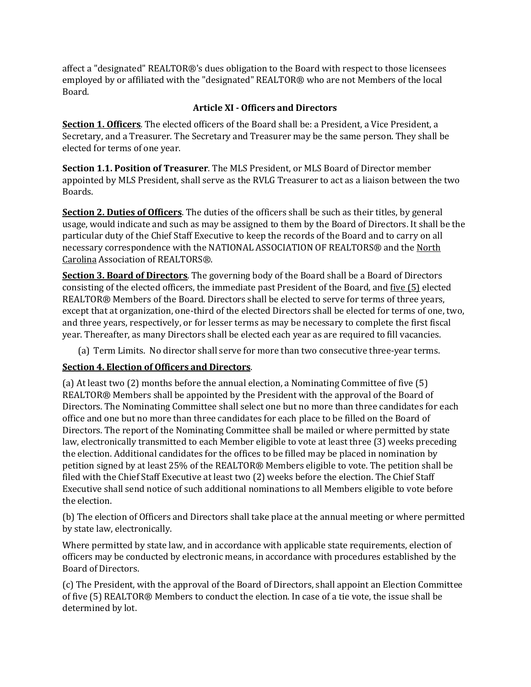affect a "designated" REALTOR®'s dues obligation to the Board with respect to those licensees employed by or affiliated with the "designated" REALTOR® who are not Members of the local Board.

### **Article XI - Officers and Directors**

<span id="page-14-0"></span>**Section 1. Officers**. The elected officers of the Board shall be: a President, a Vice President, a Secretary, and a Treasurer. The Secretary and Treasurer may be the same person. They shall be elected for terms of one year.

**Section 1.1. Position of Treasurer**. The MLS President, or MLS Board of Director member appointed by MLS President, shall serve as the RVLG Treasurer to act as a liaison between the two Boards.

**Section 2. Duties of Officers**. The duties of the officers shall be such as their titles, by general usage, would indicate and such as may be assigned to them by the Board of Directors. It shall be the particular duty of the Chief Staff Executive to keep the records of the Board and to carry on all necessary correspondence with the NATIONAL ASSOCIATION OF REALTORS® and the North Carolina Association of REALTORS®.

**Section 3. Board of Directors**. The governing body of the Board shall be a Board of Directors consisting of the elected officers, the immediate past President of the Board, and five (5) elected REALTOR® Members of the Board. Directors shall be elected to serve for terms of three years, except that at organization, one-third of the elected Directors shall be elected for terms of one, two, and three years, respectively, or for lesser terms as may be necessary to complete the first fiscal year. Thereafter, as many Directors shall be elected each year as are required to fill vacancies.

(a) Term Limits. No director shall serve for more than two consecutive three-year terms.

## **Section 4. Election of Officers and Directors**.

(a) At least two (2) months before the annual election, a Nominating Committee of five (5) REALTOR® Members shall be appointed by the President with the approval of the Board of Directors. The Nominating Committee shall select one but no more than three candidates for each office and one but no more than three candidates for each place to be filled on the Board of Directors. The report of the Nominating Committee shall be mailed or where permitted by state law, electronically transmitted to each Member eligible to vote at least three (3) weeks preceding the election. Additional candidates for the offices to be filled may be placed in nomination by petition signed by at least 25% of the REALTOR® Members eligible to vote. The petition shall be filed with the Chief Staff Executive at least two (2) weeks before the election. The Chief Staff Executive shall send notice of such additional nominations to all Members eligible to vote before the election.

(b) The election of Officers and Directors shall take place at the annual meeting or where permitted by state law, electronically.

Where permitted by state law, and in accordance with applicable state requirements, election of officers may be conducted by electronic means, in accordance with procedures established by the Board of Directors.

(c) The President, with the approval of the Board of Directors, shall appoint an Election Committee of five (5) REALTOR® Members to conduct the election. In case of a tie vote, the issue shall be determined by lot.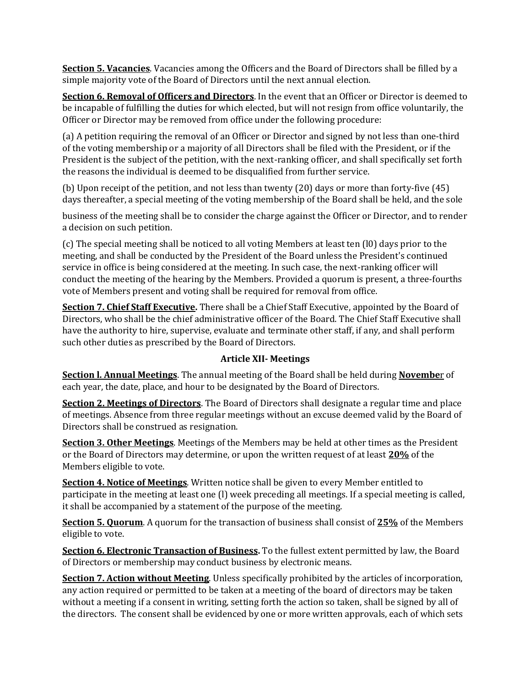**Section 5. Vacancies**. Vacancies among the Officers and the Board of Directors shall be filled by a simple majority vote of the Board of Directors until the next annual election.

**Section 6. Removal of Officers and Directors**. In the event that an Officer or Director is deemed to be incapable of fulfilling the duties for which elected, but will not resign from office voluntarily, the Officer or Director may be removed from office under the following procedure:

(a) A petition requiring the removal of an Officer or Director and signed by not less than one-third of the voting membership or a majority of all Directors shall be filed with the President, or if the President is the subject of the petition, with the next-ranking officer, and shall specifically set forth the reasons the individual is deemed to be disqualified from further service.

(b) Upon receipt of the petition, and not less than twenty (20) days or more than forty-five (45) days thereafter, a special meeting of the voting membership of the Board shall be held, and the sole

business of the meeting shall be to consider the charge against the Officer or Director, and to render a decision on such petition.

(c) The special meeting shall be noticed to all voting Members at least ten (l0) days prior to the meeting, and shall be conducted by the President of the Board unless the President's continued service in office is being considered at the meeting. In such case, the next-ranking officer will conduct the meeting of the hearing by the Members. Provided a quorum is present, a three-fourths vote of Members present and voting shall be required for removal from office.

**Section 7. Chief Staff Executive.** There shall be a Chief Staff Executive, appointed by the Board of Directors, who shall be the chief administrative officer of the Board. The Chief Staff Executive shall have the authority to hire, supervise, evaluate and terminate other staff, if any, and shall perform such other duties as prescribed by the Board of Directors.

#### **Article XII- Meetings**

<span id="page-15-0"></span>**Section l. Annual Meetings**. The annual meeting of the Board shall be held during **Novembe**r of each year, the date, place, and hour to be designated by the Board of Directors.

**Section 2. Meetings of Directors**. The Board of Directors shall designate a regular time and place of meetings. Absence from three regular meetings without an excuse deemed valid by the Board of Directors shall be construed as resignation.

**Section 3. Other Meetings**. Meetings of the Members may be held at other times as the President or the Board of Directors may determine, or upon the written request of at least **20%** of the Members eligible to vote.

**Section 4. Notice of Meetings**. Written notice shall be given to every Member entitled to participate in the meeting at least one (l) week preceding all meetings. If a special meeting is called, it shall be accompanied by a statement of the purpose of the meeting.

**Section 5. Quorum**. A quorum for the transaction of business shall consist of **25%** of the Members eligible to vote.

**Section 6. Electronic Transaction of Business.** To the fullest extent permitted by law, the Board of Directors or membership may conduct business by electronic means.

**Section 7. Action without Meeting**. Unless specifically prohibited by the articles of incorporation, any action required or permitted to be taken at a meeting of the board of directors may be taken without a meeting if a consent in writing, setting forth the action so taken, shall be signed by all of the directors. The consent shall be evidenced by one or more written approvals, each of which sets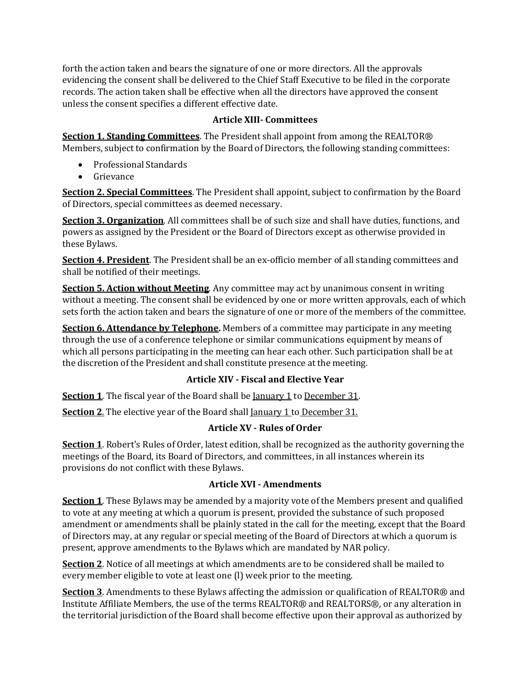forth the action taken and bears the signature of one or more directors. All the approvals evidencing the consent shall be delivered to the Chief Staff Executive to be filed in the corporate records. The action taken shall be effective when all the directors have approved the consent unless the consent specifies a different effective date.

#### **Article XIII- Committees**

<span id="page-16-0"></span>**Section 1. Standing Committees**. The President shall appoint from among the REALTOR® Members, subject to confirmation by the Board of Directors, the following standing committees:

- Professional Standards
- Grievance

**Section 2. Special Committees**. The President shall appoint, subject to confirmation by the Board of Directors, special committees as deemed necessary.

**Section 3. Organization**. All committees shall be of such size and shall have duties, functions, and powers as assigned by the President or the Board of Directors except as otherwise provided in these Bylaws.

**Section 4. President**. The President shall be an ex-officio member of all standing committees and shall be notified of their meetings.

**Section 5. Action without Meeting**. Any committee may act by unanimous consent in writing without a meeting. The consent shall be evidenced by one or more written approvals, each of which sets forth the action taken and bears the signature of one or more of the members of the committee.

**Section 6. Attendance by Telephone.** Members of a committee may participate in any meeting through the use of a conference telephone or similar communications equipment by means of which all persons participating in the meeting can hear each other. Such participation shall be at the discretion of the President and shall constitute presence at the meeting.

## **Article XIV - Fiscal and Elective Year**

**Section 1**. The fiscal year of the Board shall be <u>January 1</u> to December 31.

<span id="page-16-1"></span>**Section 2**. The elective year of the Board shall January 1 to December 31.

## **Article XV - Rules of Order**

**Section 1**. Robert's Rules of Order, latest edition, shall be recognized as the authority governing the meetings of the Board, its Board of Directors, and committees, in all instances wherein its provisions do not conflict with these Bylaws.

## **Article XVI - Amendments**

<span id="page-16-2"></span>**Section 1**. These Bylaws may be amended by a majority vote of the Members present and qualified to vote at any meeting at which a quorum is present, provided the substance of such proposed amendment or amendments shall be plainly stated in the call for the meeting, except that the Board of Directors may, at any regular or special meeting of the Board of Directors at which a quorum is present, approve amendments to the Bylaws which are mandated by NAR policy.

**Section 2**. Notice of all meetings at which amendments are to be considered shall be mailed to every member eligible to vote at least one (l) week prior to the meeting.

**Section 3**. Amendments to these Bylaws affecting the admission or qualification of REALTOR® and Institute Affiliate Members, the use of the terms REALTOR® and REALTORS®, or any alteration in the territorial jurisdiction of the Board shall become effective upon their approval as authorized by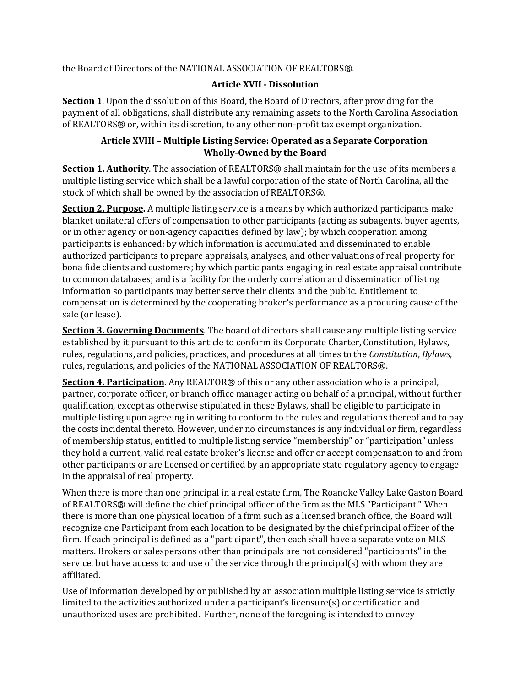<span id="page-17-0"></span>the Board of Directors of the NATIONAL ASSOCIATION OF REALTORS®.

#### **Article XVII - Dissolution**

**Section 1**. Upon the dissolution of this Board, the Board of Directors, after providing for the payment of all obligations, shall distribute any remaining assets to the North Carolina Association of REALTORS® or, within its discretion, to any other non-profit tax exempt organization.

#### **Article XVIII – Multiple Listing Service: Operated as a Separate Corporation Wholly-Owned by the Board**

<span id="page-17-1"></span>**Section 1. Authority**. The association of REALTORS® shall maintain for the use of its members a multiple listing service which shall be a lawful corporation of the state of North Carolina, all the stock of which shall be owned by the association of REALTORS®.

**Section 2. Purpose.** A multiple listing service is a means by which authorized participants make blanket unilateral offers of compensation to other participants (acting as subagents, buyer agents, or in other agency or non-agency capacities defined by law); by which cooperation among participants is enhanced; by which information is accumulated and disseminated to enable authorized participants to prepare appraisals, analyses, and other valuations of real property for bona fide clients and customers; by which participants engaging in real estate appraisal contribute to common databases; and is a facility for the orderly correlation and dissemination of listing information so participants may better serve their clients and the public. Entitlement to compensation is determined by the cooperating broker's performance as a procuring cause of the sale (or lease).

**Section 3. Governing Documents**. The board of directors shall cause any multiple listing service established by it pursuant to this article to conform its Corporate Charter, Constitution, Bylaws, rules, regulations, and policies, practices, and procedures at all times to the *Constitution*, *Bylaws*, rules, regulations, and policies of the NATIONAL ASSOCIATION OF REALTORS®.

**Section 4. Participation**. Any REALTOR® of this or any other association who is a principal, partner, corporate officer, or branch office manager acting on behalf of a principal, without further qualification, except as otherwise stipulated in these Bylaws, shall be eligible to participate in multiple listing upon agreeing in writing to conform to the rules and regulations thereof and to pay the costs incidental thereto. However, under no circumstances is any individual or firm, regardless of membership status, entitled to multiple listing service "membership" or "participation" unless they hold a current, valid real estate broker's license and offer or accept compensation to and from other participants or are licensed or certified by an appropriate state regulatory agency to engage in the appraisal of real property.

When there is more than one principal in a real estate firm, The Roanoke Valley Lake Gaston Board of REALTORS® will define the chief principal officer of the firm as the MLS "Participant." When there is more than one physical location of a firm such as a licensed branch office, the Board will recognize one Participant from each location to be designated by the chief principal officer of the firm. If each principal is defined as a "participant", then each shall have a separate vote on MLS matters. Brokers or salespersons other than principals are not considered "participants" in the service, but have access to and use of the service through the principal(s) with whom they are affiliated.

Use of information developed by or published by an association multiple listing service is strictly limited to the activities authorized under a participant's licensure(s) or certification and unauthorized uses are prohibited. Further, none of the foregoing is intended to convey